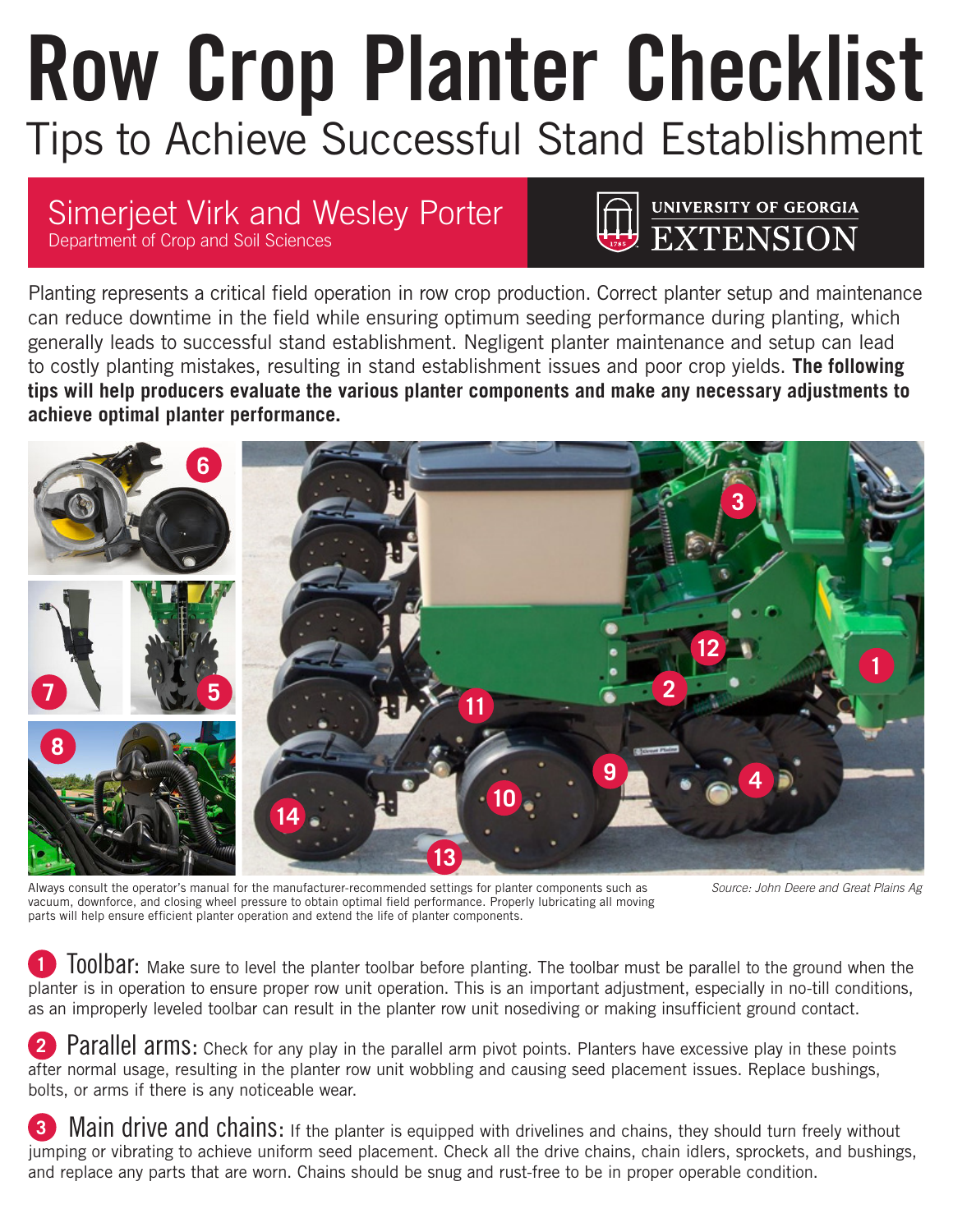## **Row Crop Planter Checklist** Tips to Achieve Successful Stand Establishment

## Simerjeet Virk and Wesley Porter

Department of Crop and Soil Sciences

UNIVERSITY OF GEORGIA

Planting represents a critical field operation in row crop production. Correct planter setup and maintenance can reduce downtime in the field while ensuring optimum seeding performance during planting, which generally leads to successful stand establishment. Negligent planter maintenance and setup can lead to costly planting mistakes, resulting in stand establishment issues and poor crop yields. **The following tips will help producers evaluate the various planter components and make any necessary adjustments to achieve optimal planter performance.**



Always consult the operator's manual for the manufacturer-recommended settings for planter components such as vacuum, downforce, and closing wheel pressure to obtain optimal field performance. Properly lubricating all moving parts will help ensure efficient planter operation and extend the life of planter components.

*Source: John Deere and Great Plains Ag*

**<sup>1</sup>** Toolbar: Make sure to level the planter toolbar before planting. The toolbar must be parallel to the ground when the planter is in operation to ensure proper row unit operation. This is an important adjustment, especially in no-till conditions, as an improperly leveled toolbar can result in the planter row unit nosediving or making insufficient ground contact.

Parallel arms: Check for any play in the parallel arm pivot points. Planters have excessive play in these points after normal usage, resulting in the planter row unit wobbling and causing seed placement issues. Replace bushings, bolts, or arms if there is any noticeable wear.

**Main drive and chains:** If the planter is equipped with drivelines and chains, they should turn freely without jumping or vibrating to achieve uniform seed placement. Check all the drive chains, chain idlers, sprockets, and bushings, and replace any parts that are worn. Chains should be snug and rust-free to be in proper operable condition.